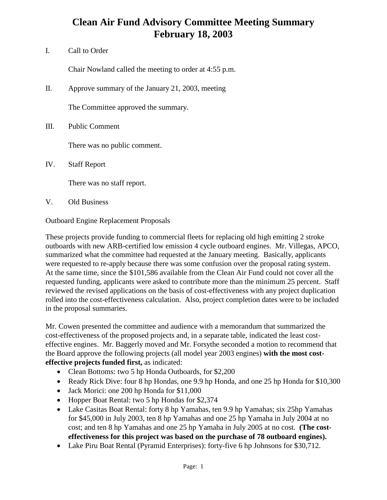## **Clean Air Fund Advisory Committee Meeting Summary February 18, 2003**

I. Call to Order

Chair Nowland called the meeting to order at 4:55 p.m.

II. Approve summary of the January 21, 2003, meeting

The Committee approved the summary.

III. Public Comment

There was no public comment.

IV. Staff Report

There was no staff report.

V. Old Business

Outboard Engine Replacement Proposals

These projects provide funding to commercial fleets for replacing old high emitting 2 stroke outboards with new ARB-certified low emission 4 cycle outboard engines. Mr. Villegas, APCO, summarized what the committee had requested at the January meeting. Basically, applicants were requested to re-apply because there was some confusion over the proposal rating system. At the same time, since the \$101,586 available from the Clean Air Fund could not cover all the requested funding, applicants were asked to contribute more than the minimum 25 percent. Staff reviewed the revised applications on the basis of cost-effectiveness with any project duplication rolled into the cost-effectiveness calculation. Also, project completion dates were to be included in the proposal summaries.

Mr. Cowen presented the committee and audience with a memorandum that summarized the cost-effectiveness of the proposed projects and, in a separate table, indicated the least costeffective engines. Mr. Baggerly moved and Mr. Forsythe seconded a motion to recommend that the Board approve the following projects (all model year 2003 engines) **with the most costeffective projects funded first,** as indicated:

- Clean Bottoms: two 5 hp Honda Outboards, for \$2,200
- Ready Rick Dive: four 8 hp Hondas, one 9.9 hp Honda, and one 25 hp Honda for \$10,300
- Jack Morici: one 200 hp Honda for \$11,000
- Hopper Boat Rental: two 5 hp Hondas for \$2,374
- Lake Casitas Boat Rental: forty 8 hp Yamahas, ten 9.9 hp Yamahas; six 25hp Yamahas for \$45,000 in July 2003, ten 8 hp Yamahas and one 25 hp Yamaha in July 2004 at no cost; and ten 8 hp Yamahas and one 25 hp Yamaha in July 2005 at no cost. **(The costeffectiveness for this project was based on the purchase of 78 outboard engines).**
- Lake Piru Boat Rental (Pyramid Enterprises): forty-five 6 hp Johnsons for \$30,712.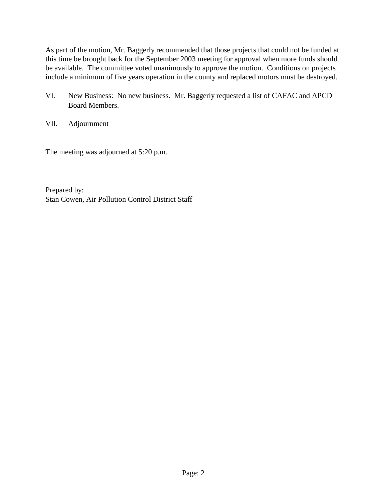As part of the motion, Mr. Baggerly recommended that those projects that could not be funded at this time be brought back for the September 2003 meeting for approval when more funds should be available. The committee voted unanimously to approve the motion. Conditions on projects include a minimum of five years operation in the county and replaced motors must be destroyed.

- VI. New Business: No new business. Mr. Baggerly requested a list of CAFAC and APCD Board Members.
- VII. Adjournment

The meeting was adjourned at 5:20 p.m.

Prepared by: Stan Cowen, Air Pollution Control District Staff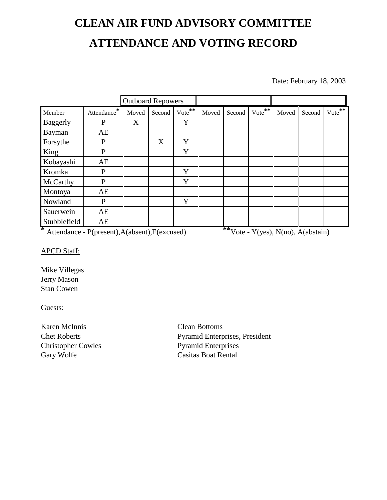# **CLEAN AIR FUND ADVISORY COMMITTEE ATTENDANCE AND VOTING RECORD**

Date: February 18, 2003

|              |              | <b>Outboard Repowers</b> |        |               |       |        |        |       |        |          |
|--------------|--------------|--------------------------|--------|---------------|-------|--------|--------|-------|--------|----------|
| Member       | Attendance*  | Moved                    | Second | $***$<br>Vote | Moved | Second | Vote** | Moved | Second | $Vote^*$ |
| Baggerly     | $\mathbf{P}$ | X                        |        | Y             |       |        |        |       |        |          |
| Bayman       | AE           |                          |        |               |       |        |        |       |        |          |
| Forsythe     | P            |                          | X      | Y             |       |        |        |       |        |          |
| King         | P            |                          |        | Y             |       |        |        |       |        |          |
| Kobayashi    | AE           |                          |        |               |       |        |        |       |        |          |
| Kromka       | P            |                          |        | Y             |       |        |        |       |        |          |
| McCarthy     | P            |                          |        | Y             |       |        |        |       |        |          |
| Montoya      | AE           |                          |        |               |       |        |        |       |        |          |
| Nowland      | P            |                          |        | Y             |       |        |        |       |        |          |
| Sauerwein    | AE           |                          |        |               |       |        |        |       |        |          |
| Stubblefield | AE           |                          |        |               |       |        |        |       |        |          |

**\*** Attendance - P(present),A(absent),E(excused) **\*\***Vote - Y(yes), N(no), A(abstain)

### APCD Staff:

Mike Villegas Jerry Mason Stan Cowen

#### Guests:

Karen McInnis Clean Bottoms Gary Wolfe Casitas Boat Rental

Chet Roberts Pyramid Enterprises, President Christopher Cowles Pyramid Enterprises